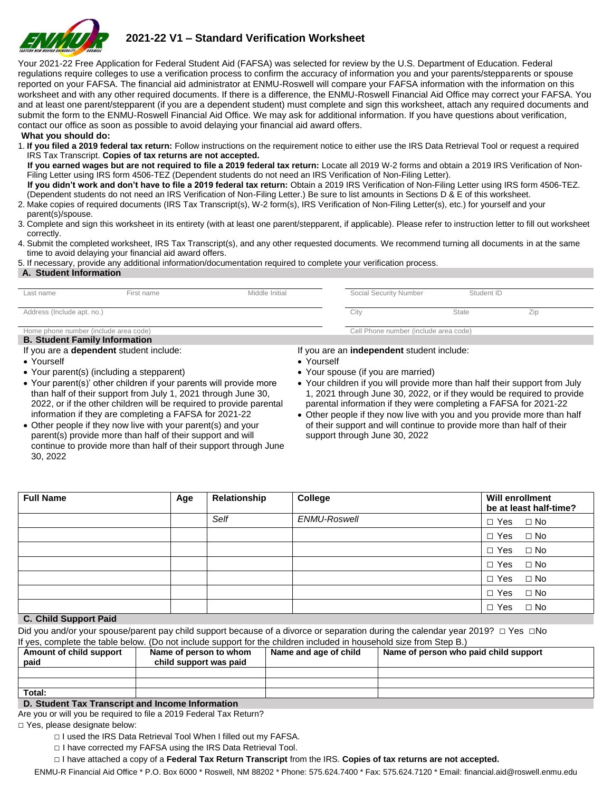

# **2021-22 V1 – Standard Verification Worksheet**

Your 2021-22 Free Application for Federal Student Aid (FAFSA) was selected for review by the U.S. Department of Education. Federal regulations require colleges to use a verification process to confirm the accuracy of information you and your parents/stepparents or spouse reported on your FAFSA. The financial aid administrator at ENMU-Roswell will compare your FAFSA information with the information on this worksheet and with any other required documents. If there is a difference, the ENMU-Roswell Financial Aid Office may correct your FAFSA. You and at least one parent/stepparent (if you are a dependent student) must complete and sign this worksheet, attach any required documents and submit the form to the ENMU-Roswell Financial Aid Office. We may ask for additional information. If you have questions about verification, contact our office as soon as possible to avoid delaying your financial aid award offers.

**What you should do:** 

1. **If you filed a 2019 federal tax return:** Follow instructions on the requirement notice to either use the IRS Data Retrieval Tool or request a required IRS Tax Transcript. **Copies of tax returns are not accepted.** 

 **If you earned wages but are not required to file a 2019 federal tax return:** Locate all 2019 W-2 forms and obtain a 2019 IRS Verification of Non-Filing Letter using IRS form 4506-TEZ (Dependent students do not need an IRS Verification of Non-Filing Letter).

 **If you didn't work and don't have to file a 2019 federal tax return:** Obtain a 2019 IRS Verification of Non-Filing Letter using IRS form 4506-TEZ. (Dependent students do not need an IRS Verification of Non-Filing Letter.) Be sure to list amounts in Sections D & E of this worksheet.

- 2. Make copies of required documents (IRS Tax Transcript(s), W-2 form(s), IRS Verification of Non-Filing Letter(s), etc.) for yourself and your
- parent(s)/spouse. 3. Complete and sign this worksheet in its entirety (with at least one parent/stepparent, if applicable). Please refer to instruction letter to fill out worksheet
- correctly.
- 4. Submit the completed worksheet, IRS Tax Transcript(s), and any other requested documents. We recommend turning all documents in at the same time to avoid delaying your financial aid award offers.

5. If necessary, provide any additional information/documentation required to complete your verification process.

#### **A. Student Information**

| Last name                                                                     | First name | Middle Initial | Social Security Number                | Student ID   |     |
|-------------------------------------------------------------------------------|------------|----------------|---------------------------------------|--------------|-----|
| Address (Include apt. no.)                                                    |            |                | City                                  | <b>State</b> | Zip |
| Home phone number (include area code)<br><b>B. Student Family Information</b> |            |                | Cell Phone number (include area code) |              |     |

If you are a **dependent** student include:

- Yourself
- Your parent(s) (including a stepparent)
- Your parent(s)' other children if your parents will provide more than half of their support from July 1, 2021 through June 30, 2022, or if the other children will be required to provide parental information if they are completing a FAFSA for 2021-22

If you are an **independent** student include:

- Yourself
- Your spouse (if you are married)
- Your children if you will provide more than half their support from July 1, 2021 through June 30, 2022, or if they would be required to provide parental information if they were completing a FAFSA for 2021-22
- Other people if they now live with you and you provide more than half of their support and will continue to provide more than half of their support through June 30, 2022

| • Other people if they now live with your parent(s) and your     |
|------------------------------------------------------------------|
| parent(s) provide more than half of their support and will       |
| continue to provide more than half of their support through June |
| 30.2022                                                          |

|                       | Relationship | College      | Will enrollment<br>be at least half-time? |              |
|-----------------------|--------------|--------------|-------------------------------------------|--------------|
|                       | Self         | ENMU-Roswell | $\Box$ Yes $\Box$ No                      |              |
|                       |              |              | $\Box$ Yes                                | $\Box$ No    |
|                       |              |              | $\Box$ Yes $\Box$ No                      |              |
|                       |              |              | $\Box$ Yes                                | $\square$ No |
|                       |              |              | $\Box$ Yes $\Box$ No                      |              |
|                       |              |              | $\Box$ Yes                                | $\Box$ No    |
| C. Child Support Daid |              |              | $\Box$ Yes                                | $\square$ No |

## **C. Child Support Paid**

Did you and/or your spouse/parent pay child support because of a divorce or separation during the calendar year 2019? □ Yes □No If yes, complete the table below. (Do not include support for the children included in household size from Step B.)

| Amount of child support<br>paid | Name of person to whom<br>child support was paid | Name and age of child | Name of person who paid child support |
|---------------------------------|--------------------------------------------------|-----------------------|---------------------------------------|
|                                 |                                                  |                       |                                       |
|                                 |                                                  |                       |                                       |
| Total:                          |                                                  |                       |                                       |

## **D. Student Tax Transcript and Income Information**

Are you or will you be required to file a 2019 Federal Tax Return? □ Yes, please designate below:

- □ I used the IRS Data Retrieval Tool When I filled out my FAFSA.
- □ I have corrected my FAFSA using the IRS Data Retrieval Tool.
- □ I have attached a copy of a **Federal Tax Return Transcript** from the IRS. **Copies of tax returns are not accepted.**

ENMU-R Financial Aid Office \* P.O. Box 6000 \* Roswell, NM 88202 \* Phone: 575.624.7400 \* Fax: 575.624.7120 \* Email: financial.aid@roswell.enmu.edu